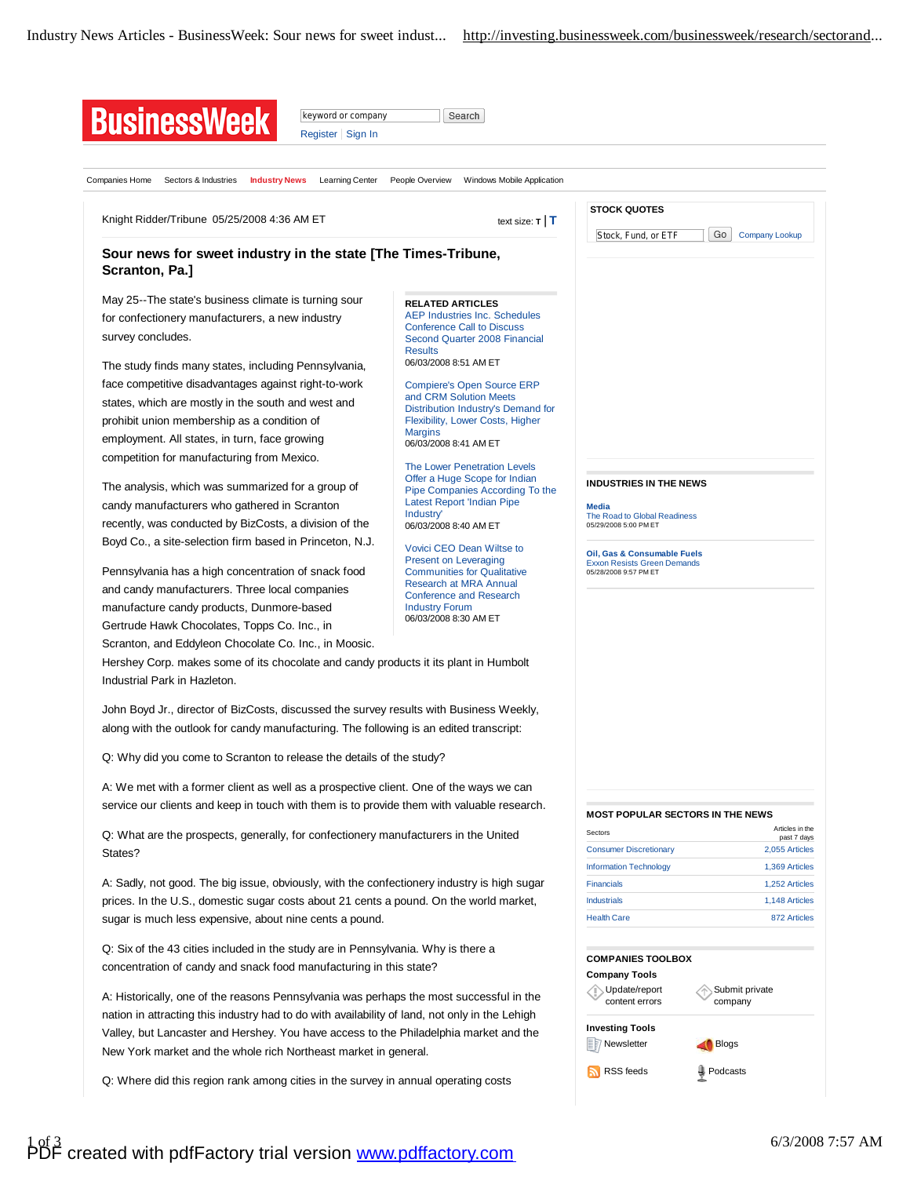| Companies Home<br>Sectors & Industries<br><b>Industry News</b><br>Learning Center                                                                                                 | People Overview<br>Windows Mobile Application                                                                                                           |                                                                               |                                  |
|-----------------------------------------------------------------------------------------------------------------------------------------------------------------------------------|---------------------------------------------------------------------------------------------------------------------------------------------------------|-------------------------------------------------------------------------------|----------------------------------|
|                                                                                                                                                                                   |                                                                                                                                                         |                                                                               |                                  |
| Knight Ridder/Tribune 05/25/2008 4:36 AM ET<br>text size: $\mathsf{T}$   $\mathsf{T}$                                                                                             |                                                                                                                                                         | <b>STOCK QUOTES</b><br>Go                                                     |                                  |
| Sour news for sweet industry in the state [The Times-Tribune,<br>Scranton, Pa.]                                                                                                   |                                                                                                                                                         | Stock, Fund, or ETF                                                           | <b>Company Lookup</b>            |
|                                                                                                                                                                                   |                                                                                                                                                         |                                                                               |                                  |
| May 25--The state's business climate is turning sour<br>for confectionery manufacturers, a new industry<br>survey concludes.                                                      | <b>RELATED ARTICLES</b><br><b>AEP Industries Inc. Schedules</b><br><b>Conference Call to Discuss</b><br>Second Quarter 2008 Financial<br><b>Results</b> |                                                                               |                                  |
| The study finds many states, including Pennsylvania,                                                                                                                              | 06/03/2008 8:51 AM ET                                                                                                                                   |                                                                               |                                  |
| face competitive disadvantages against right-to-work<br>states, which are mostly in the south and west and<br>prohibit union membership as a condition of                         | <b>Compiere's Open Source ERP</b><br>and CRM Solution Meets<br>Distribution Industry's Demand for<br>Flexibility, Lower Costs, Higher<br><b>Margins</b> |                                                                               |                                  |
| employment. All states, in turn, face growing                                                                                                                                     | 06/03/2008 8:41 AM ET                                                                                                                                   |                                                                               |                                  |
| competition for manufacturing from Mexico.                                                                                                                                        | <b>The Lower Penetration Levels</b>                                                                                                                     |                                                                               |                                  |
| The analysis, which was summarized for a group of<br>candy manufacturers who gathered in Scranton                                                                                 | Offer a Huge Scope for Indian<br>Pipe Companies According To the<br><b>Latest Report 'Indian Pipe</b><br>Industry'                                      | <b>INDUSTRIES IN THE NEWS</b><br><b>Media</b><br>The Road to Global Readiness |                                  |
| recently, was conducted by BizCosts, a division of the                                                                                                                            | 06/03/2008 8:40 AM ET                                                                                                                                   | 05/29/2008 5:00 PM ET                                                         |                                  |
| Boyd Co., a site-selection firm based in Princeton, N.J.                                                                                                                          | Vovici CEO Dean Wiltse to<br><b>Present on Leveraging</b>                                                                                               | Oil, Gas & Consumable Fuels<br><b>Exxon Resists Green Demands</b>             |                                  |
| Pennsylvania has a high concentration of snack food                                                                                                                               | <b>Communities for Qualitative</b><br>Research at MRA Annual                                                                                            | 05/28/2008 9:57 PM ET                                                         |                                  |
| and candy manufacturers. Three local companies                                                                                                                                    | <b>Conference and Research</b>                                                                                                                          |                                                                               |                                  |
| manufacture candy products, Dunmore-based                                                                                                                                         | <b>Industry Forum</b><br>06/03/2008 8:30 AM ET                                                                                                          |                                                                               |                                  |
| Gertrude Hawk Chocolates, Topps Co. Inc., in                                                                                                                                      |                                                                                                                                                         |                                                                               |                                  |
| Scranton, and Eddyleon Chocolate Co. Inc., in Moosic.                                                                                                                             |                                                                                                                                                         |                                                                               |                                  |
| Hershey Corp. makes some of its chocolate and candy products it its plant in Humbolt<br>Industrial Park in Hazleton.                                                              |                                                                                                                                                         |                                                                               |                                  |
| John Boyd Jr., director of BizCosts, discussed the survey results with Business Weekly,<br>along with the outlook for candy manufacturing. The following is an edited transcript: |                                                                                                                                                         |                                                                               |                                  |
| Q: Why did you come to Scranton to release the details of the study?                                                                                                              |                                                                                                                                                         |                                                                               |                                  |
| A: We met with a former client as well as a prospective client. One of the ways we can                                                                                            |                                                                                                                                                         |                                                                               |                                  |
| service our clients and keep in touch with them is to provide them with valuable research.                                                                                        |                                                                                                                                                         | <b>MOST POPULAR SECTORS IN THE NEWS</b>                                       |                                  |
|                                                                                                                                                                                   |                                                                                                                                                         |                                                                               | Articles in the                  |
| Q: What are the prospects, generally, for confectionery manufacturers in the United<br>States?                                                                                    |                                                                                                                                                         | Sectors                                                                       | past 7 days                      |
|                                                                                                                                                                                   |                                                                                                                                                         | <b>Consumer Discretionary</b><br><b>Information Technology</b>                | 2,055 Articles<br>1,369 Articles |
| A: Sadly, not good. The big issue, obviously, with the confectionery industry is high sugar                                                                                       |                                                                                                                                                         | <b>Financials</b>                                                             | 1,252 Articles                   |
| prices. In the U.S., domestic sugar costs about 21 cents a pound. On the world market,<br>sugar is much less expensive, about nine cents a pound.                                 |                                                                                                                                                         | <b>Industrials</b>                                                            | 1,148 Articles                   |
|                                                                                                                                                                                   |                                                                                                                                                         | <b>Health Care</b>                                                            | 872 Articles                     |
|                                                                                                                                                                                   |                                                                                                                                                         |                                                                               |                                  |
| Q: Six of the 43 cities included in the study are in Pennsylvania. Why is there a<br>concentration of candy and snack food manufacturing in this state?                           |                                                                                                                                                         | <b>COMPANIES TOOLBOX</b><br><b>Company Tools</b>                              |                                  |
| A: Historically, one of the reasons Pennsylvania was perhaps the most successful in the                                                                                           |                                                                                                                                                         | √ Update/report<br>content errors                                             | Submit private<br>company        |
| nation in attracting this industry had to do with availability of land, not only in the Lehigh                                                                                    |                                                                                                                                                         |                                                                               |                                  |
|                                                                                                                                                                                   |                                                                                                                                                         | <b>Investing Tools</b>                                                        |                                  |
| Valley, but Lancaster and Hershey. You have access to the Philadelphia market and the                                                                                             |                                                                                                                                                         |                                                                               |                                  |
| New York market and the whole rich Northeast market in general.                                                                                                                   |                                                                                                                                                         | <b>E</b> 7 Newsletter                                                         | Blogs                            |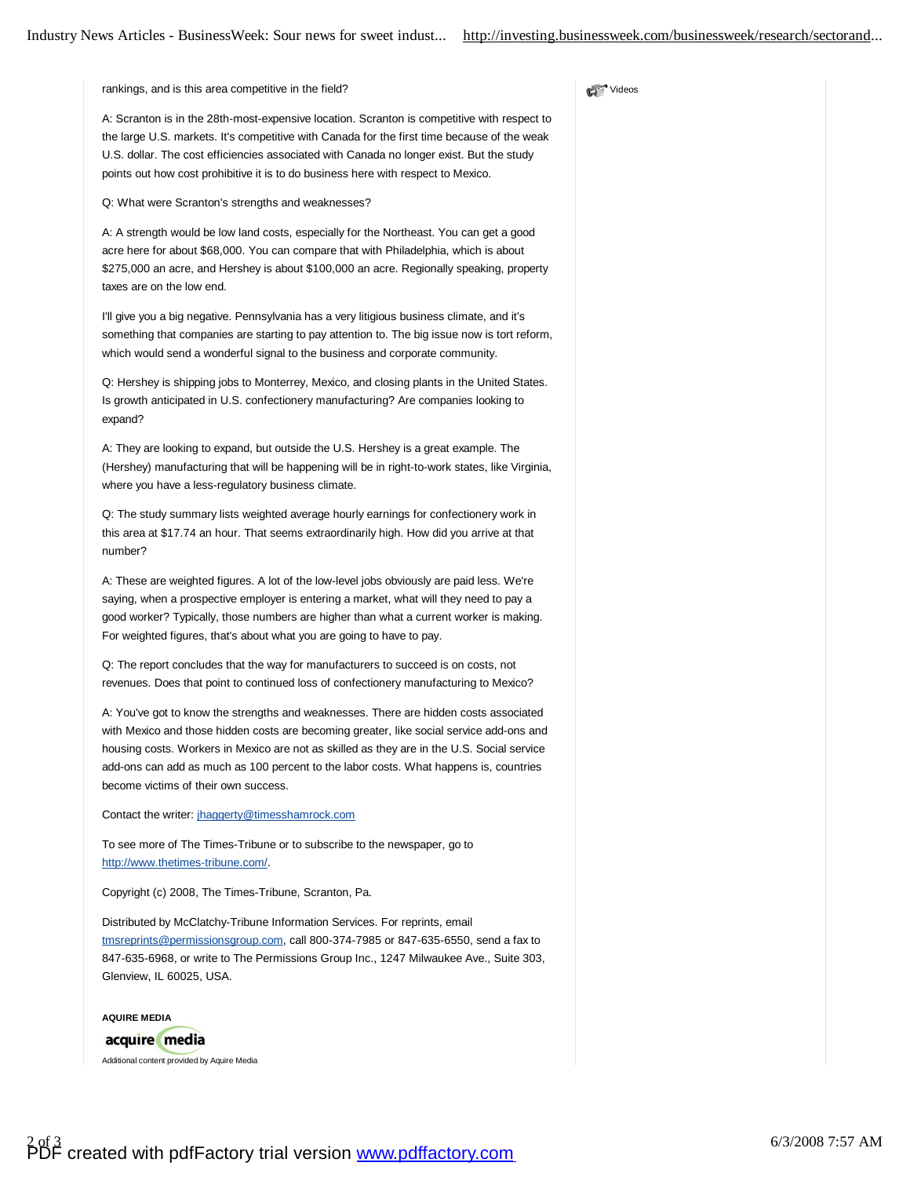**Nideos** 

rankings, and is this area competitive in the field?

A: Scranton is in the 28th-most-expensive location. Scranton is competitive with respect to the large U.S. markets. It's competitive with Canada for the first time because of the weak U.S. dollar. The cost efficiencies associated with Canada no longer exist. But the study points out how cost prohibitive it is to do business here with respect to Mexico.

Q: What were Scranton's strengths and weaknesses?

A: A strength would be low land costs, especially for the Northeast. You can get a good acre here for about \$68,000. You can compare that with Philadelphia, which is about \$275,000 an acre, and Hershey is about \$100,000 an acre. Regionally speaking, property taxes are on the low end.

I'll give you a big negative. Pennsylvania has a very litigious business climate, and it's something that companies are starting to pay attention to. The big issue now is tort reform, which would send a wonderful signal to the business and corporate community.

Q: Hershey is shipping jobs to Monterrey, Mexico, and closing plants in the United States. Is growth anticipated in U.S. confectionery manufacturing? Are companies looking to expand?

A: They are looking to expand, but outside the U.S. Hershey is a great example. The (Hershey) manufacturing that will be happening will be in right-to-work states, like Virginia, where you have a less-regulatory business climate.

Q: The study summary lists weighted average hourly earnings for confectionery work in this area at \$17.74 an hour. That seems extraordinarily high. How did you arrive at that number?

A: These are weighted figures. A lot of the low-level jobs obviously are paid less. We're saying, when a prospective employer is entering a market, what will they need to pay a good worker? Typically, those numbers are higher than what a current worker is making. For weighted figures, that's about what you are going to have to pay.

Q: The report concludes that the way for manufacturers to succeed is on costs, not revenues. Does that point to continued loss of confectionery manufacturing to Mexico?

A: You've got to know the strengths and weaknesses. There are hidden costs associated with Mexico and those hidden costs are becoming greater, like social service add-ons and housing costs. Workers in Mexico are not as skilled as they are in the U.S. Social service add-ons can add as much as 100 percent to the labor costs. What happens is, countries become victims of their own success.

Contact the writer: [jhaggerty@timesshamrock.com](mailto:jhaggerty@timesshamrock.com)

To see more of The Times-Tribune or to subscribe to the newspaper, go to <http://www.thetimes-tribune.com/>.

Copyright (c) 2008, The Times-Tribune, Scranton, Pa.

Distributed by McClatchy-Tribune Information Services. For reprints, email [tmsreprints@permissionsgroup.com,](mailto:tmsreprints@permissionsgroup.com) call 800-374-7985 or 847-635-6550, send a fax to 847-635-6968, or write to The Permissions Group Inc., 1247 Milwaukee Ave., Suite 303, Glenview, IL 60025, USA.

**AQUIRE MEDIA** acquire media Additional content provided by Aquire Media